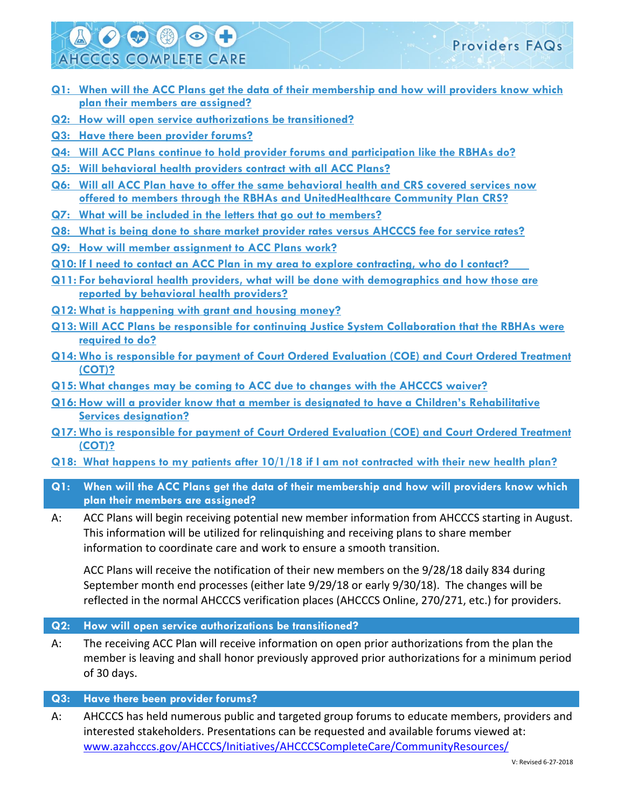# 200000 **AHCCCS COMPLETE CARE**

- **Q1: [When will the ACC Plans get the data of their membership and how will providers know which](#page-0-0)  [plan their members are assigned?](#page-0-0)**
- **Q2: [How will open service authorizations be transitioned?](#page-0-1)**
- **Q3: [Have there been provider forums?](#page-0-2)**
- **Q4: [Will ACC Plans continue to hold provider forums and participation like the RBHAs do?](#page-1-0)**
- **Q5: [Will behavioral health providers contract with all ACC Plans?](#page-1-1)**
- **Q6: Will all ACC Plan [have to offer the same behavioral health and CRS covered services now](#page-1-2)  [offered to members through the RBHAs and UnitedHealthcare Community Plan CRS?](#page-1-2)**
- **Q7: [What will be included in the letters that go out to members?](#page-1-3)**
- **Q8: [What is being done to share market provider rates versus AHCCCS fee for service rates?](#page-1-4)**
- **Q9: [How will member assignment to ACC Plans work?](#page-2-0)**
- **Q10: [If I need to contact an ACC Plan in my area to explore contracting, who do I contact?](#page-2-1)**
- **Q11: [For behavioral health providers, what will be done with demographics and how those are](#page-3-0)  [reported by behavioral health providers?](#page-3-0)**
- **Q12: [What is happening with grant and housing money?](#page-3-1)**
- **Q13: [Will ACC Plans be responsible for continuing Justice System Collaboration that the RBHAs were](#page-3-2)  [required to do?](#page-3-2)**
- **Q14: [Who is responsible for payment of Court Ordered Evaluation \(COE\) and Court Ordered Treatment](#page-3-3)  [\(COT\)?](#page-3-3)**
- **Q15: [What changes may be coming to ACC due to changes with the AHCCCS waiver?](#page-4-0)**
- **Q16: How will a [provider know that a member is designated to have a Children's Rehabilitative](#page-4-1)  [Services designation?](#page-4-1)**
- **Q17: [Who is responsible for payment of Court Ordered Evaluation \(COE\) and Court Ordered Treatment](#page-4-2)  [\(COT\)?](#page-4-2)**
- **[Q18: What happens to my patients after 10/1/18 if I am not contracted with their new health plan?](#page-4-3)**
- <span id="page-0-0"></span>**Q1: When will the ACC Plans get the data of their membership and how will providers know which plan their members are assigned?**
- A: ACC Plans will begin receiving potential new member information from AHCCCS starting in August. This information will be utilized for relinquishing and receiving plans to share member information to coordinate care and work to ensure a smooth transition.

ACC Plans will receive the notification of their new members on the 9/28/18 daily 834 during September month end processes (either late 9/29/18 or early 9/30/18). The changes will be reflected in the normal AHCCCS verification places (AHCCCS Online, 270/271, etc.) for providers.

# <span id="page-0-1"></span>**Q2: How will open service authorizations be transitioned?**

A: The receiving ACC Plan will receive information on open prior authorizations from the plan the member is leaving and shall honor previously approved prior authorizations for a minimum period of 30 days.

# <span id="page-0-2"></span>**Q3: Have there been provider forums?**

A: AHCCCS has held numerous public and targeted group forums to educate members, providers and interested stakeholders. Presentations can be requested and available forums viewed at: [www.azahcccs.gov/AHCCCS/Initiatives/AHCCCSCompleteCare/CommunityResources/](https://www.azahcccs.gov/AHCCCS/Initiatives/AHCCCSCompleteCare/CommunityResources/)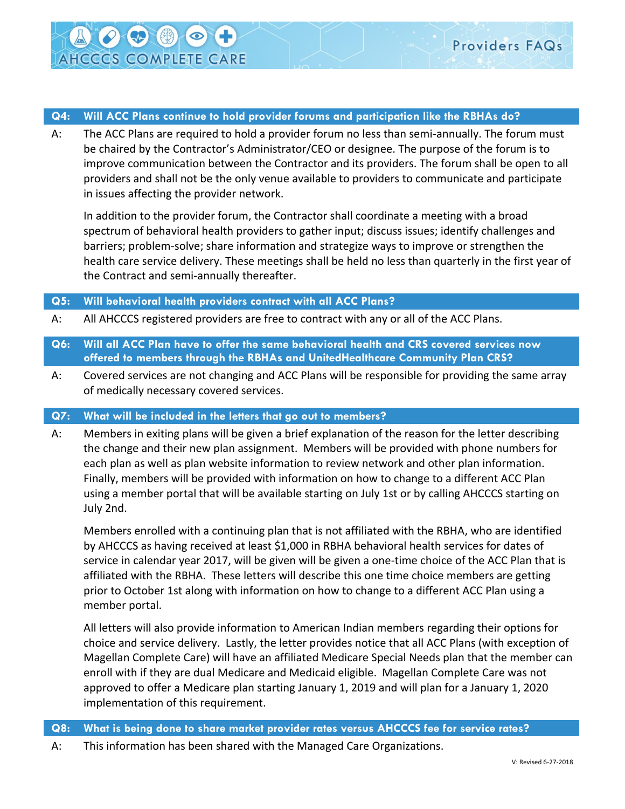<span id="page-1-0"></span>A: The ACC Plans are required to hold a provider forum no less than semi-annually. The forum must be chaired by the Contractor's Administrator/CEO or designee. The purpose of the forum is to improve communication between the Contractor and its providers. The forum shall be open to all providers and shall not be the only venue available to providers to communicate and participate in issues affecting the provider network.

In addition to the provider forum, the Contractor shall coordinate a meeting with a broad spectrum of behavioral health providers to gather input; discuss issues; identify challenges and barriers; problem-solve; share information and strategize ways to improve or strengthen the health care service delivery. These meetings shall be held no less than quarterly in the first year of the Contract and semi-annually thereafter.

## <span id="page-1-1"></span>**Q5: Will behavioral health providers contract with all ACC Plans?**

**AHCCCS COMPLETE CARE** 

- A: All AHCCCS registered providers are free to contract with any or all of the ACC Plans.
- <span id="page-1-2"></span>**Q6: Will all ACC Plan have to offer the same behavioral health and CRS covered services now offered to members through the RBHAs and UnitedHealthcare Community Plan CRS?**
- A: Covered services are not changing and ACC Plans will be responsible for providing the same array of medically necessary covered services.

### <span id="page-1-3"></span>**Q7: What will be included in the letters that go out to members?**

A: Members in exiting plans will be given a brief explanation of the reason for the letter describing the change and their new plan assignment. Members will be provided with phone numbers for each plan as well as plan website information to review network and other plan information. Finally, members will be provided with information on how to change to a different ACC Plan using a member portal that will be available starting on July 1st or by calling AHCCCS starting on July 2nd.

Members enrolled with a continuing plan that is not affiliated with the RBHA, who are identified by AHCCCS as having received at least \$1,000 in RBHA behavioral health services for dates of service in calendar year 2017, will be given will be given a one-time choice of the ACC Plan that is affiliated with the RBHA. These letters will describe this one time choice members are getting prior to October 1st along with information on how to change to a different ACC Plan using a member portal.

All letters will also provide information to American Indian members regarding their options for choice and service delivery. Lastly, the letter provides notice that all ACC Plans (with exception of Magellan Complete Care) will have an affiliated Medicare Special Needs plan that the member can enroll with if they are dual Medicare and Medicaid eligible. Magellan Complete Care was not approved to offer a Medicare plan starting January 1, 2019 and will plan for a January 1, 2020 implementation of this requirement.

- <span id="page-1-4"></span>**Q8: What is being done to share market provider rates versus AHCCCS fee for service rates?**
- A: This information has been shared with the Managed Care Organizations.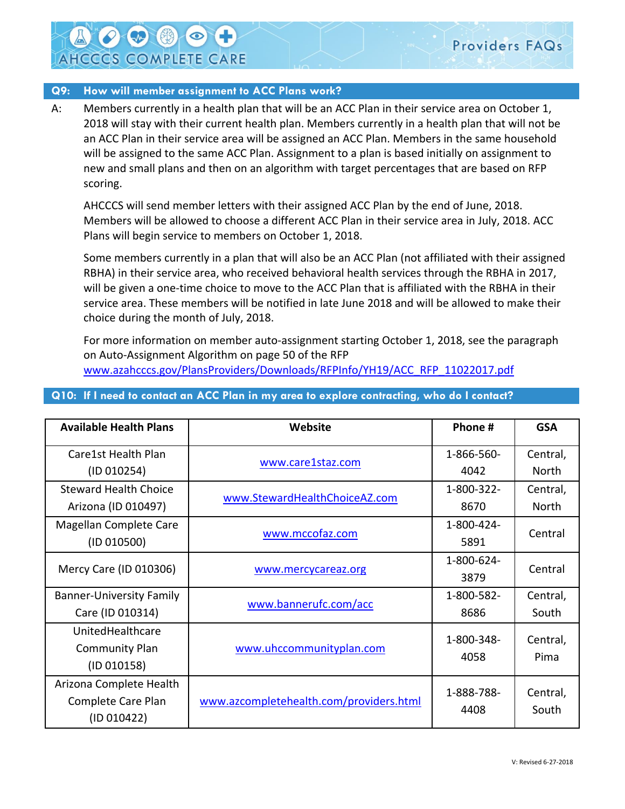### <span id="page-2-0"></span>**Q9: How will member assignment to ACC Plans work?**

**SAP** 

**AHCCCS COMPLETE CARE** 

A: Members currently in a health plan that will be an ACC Plan in their service area on October 1, 2018 will stay with their current health plan. Members currently in a health plan that will not be an ACC Plan in their service area will be assigned an ACC Plan. Members in the same household will be assigned to the same ACC Plan. Assignment to a plan is based initially on assignment to new and small plans and then on an algorithm with target percentages that are based on RFP scoring.

AHCCCS will send member letters with their assigned ACC Plan by the end of June, 2018. Members will be allowed to choose a different ACC Plan in their service area in July, 2018. ACC Plans will begin service to members on October 1, 2018.

Some members currently in a plan that will also be an ACC Plan (not affiliated with their assigned RBHA) in their service area, who received behavioral health services through the RBHA in 2017, will be given a one-time choice to move to the ACC Plan that is affiliated with the RBHA in their service area. These members will be notified in late June 2018 and will be allowed to make their choice during the month of July, 2018.

For more information on member auto-assignment starting October 1, 2018, see the paragraph on Auto-Assignment Algorithm on page 50 of the RFP [www.azahcccs.gov/PlansProviders/Downloads/RFPInfo/YH19/ACC\\_RFP\\_11022017.pdf](http://www.azahcccs.gov/PlansProviders/Downloads/RFPInfo/YH19/ACC_RFP_11022017.pdf) 

| <b>Available Health Plans</b>      | Website                                 | Phone #            | <b>GSA</b>        |
|------------------------------------|-----------------------------------------|--------------------|-------------------|
| Care1st Health Plan<br>(1D 010254) | www.care1staz.com                       | 1-866-560-<br>4042 | Central,<br>North |
|                                    |                                         |                    |                   |
| <b>Steward Health Choice</b>       | www.StewardHealthChoiceAZ.com           | 1-800-322-         | Central,          |
| Arizona (ID 010497)                |                                         | 8670               | North             |
| Magellan Complete Care             | www.mccofaz.com                         | 1-800-424-         | Central           |
| (1D 010500)                        |                                         | 5891               |                   |
| Mercy Care (ID 010306)             | www.mercycareaz.org                     | 1-800-624-         | Central           |
|                                    |                                         | 3879               |                   |
| <b>Banner-University Family</b>    | www.bannerufc.com/acc                   | 1-800-582-         | Central,          |
| Care (ID 010314)                   |                                         | 8686               | South             |
| UnitedHealthcare                   | www.uhccommunityplan.com                | 1-800-348-         | Central,          |
| <b>Community Plan</b>              |                                         |                    |                   |
| (1D 010158)                        |                                         | 4058               | Pima              |
| Arizona Complete Health            |                                         | 1-888-788-         |                   |
| Complete Care Plan                 | www.azcompletehealth.com/providers.html |                    | Central,          |
| (1D 010422)                        |                                         | 4408               | South             |

## <span id="page-2-1"></span>**Q10: If I need to contact an ACC Plan in my area to explore contracting, who do I contact?**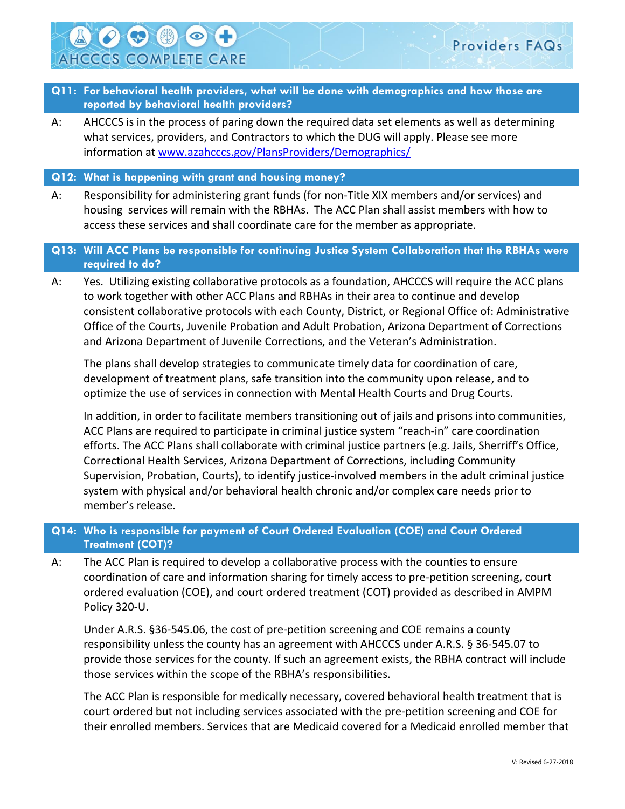- <span id="page-3-0"></span>**Q11: For behavioral health providers, what will be done with demographics and how those are reported by behavioral health providers?**
- A: AHCCCS is in the process of paring down the required data set elements as well as determining what services, providers, and Contractors to which the DUG will apply. Please see more information at [www.azahcccs.gov/PlansProviders/Demographics/](https://www.azahcccs.gov/PlansProviders/Demographics/)

#### <span id="page-3-1"></span>**Q12: What is happening with grant and housing money?**

**AHCCCS COMPLETE CARE** 

A: Responsibility for administering grant funds (for non-Title XIX members and/or services) and housing services will remain with the RBHAs. The ACC Plan shall assist members with how to access these services and shall coordinate care for the member as appropriate.

## <span id="page-3-2"></span>**Q13: Will ACC Plans be responsible for continuing Justice System Collaboration that the RBHAs were required to do?**

A: Yes. Utilizing existing collaborative protocols as a foundation, AHCCCS will require the ACC plans to work together with other ACC Plans and RBHAs in their area to continue and develop consistent collaborative protocols with each County, District, or Regional Office of: Administrative Office of the Courts, Juvenile Probation and Adult Probation, Arizona Department of Corrections and Arizona Department of Juvenile Corrections, and the Veteran's Administration.

The plans shall develop strategies to communicate timely data for coordination of care, development of treatment plans, safe transition into the community upon release, and to optimize the use of services in connection with Mental Health Courts and Drug Courts.

In addition, in order to facilitate members transitioning out of jails and prisons into communities, ACC Plans are required to participate in criminal justice system "reach-in" care coordination efforts. The ACC Plans shall collaborate with criminal justice partners (e.g. Jails, Sherriff's Office, Correctional Health Services, Arizona Department of Corrections, including Community Supervision, Probation, Courts), to identify justice-involved members in the adult criminal justice system with physical and/or behavioral health chronic and/or complex care needs prior to member's release.

# <span id="page-3-3"></span>**Q14: Who is responsible for payment of Court Ordered Evaluation (COE) and Court Ordered Treatment (COT)?**

A: The ACC Plan is required to develop a collaborative process with the counties to ensure coordination of care and information sharing for timely access to pre-petition screening, court ordered evaluation (COE), and court ordered treatment (COT) provided as described in AMPM Policy 320-U.

Under A.R.S. §36-545.06, the cost of pre-petition screening and COE remains a county responsibility unless the county has an agreement with AHCCCS under A.R.S. § 36-545.07 to provide those services for the county. If such an agreement exists, the RBHA contract will include those services within the scope of the RBHA's responsibilities.

The ACC Plan is responsible for medically necessary, covered behavioral health treatment that is court ordered but not including services associated with the pre-petition screening and COE for their enrolled members. Services that are Medicaid covered for a Medicaid enrolled member that